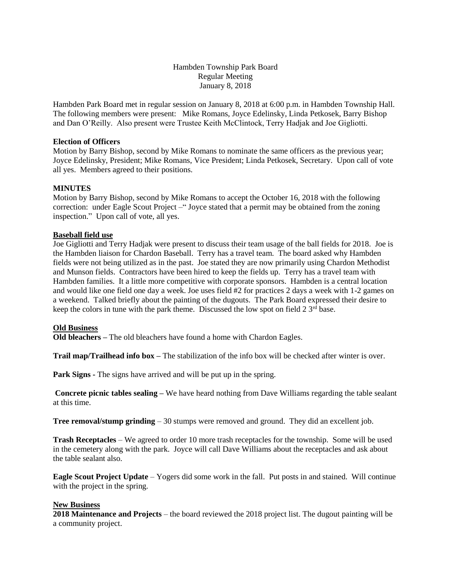Hambden Township Park Board Regular Meeting January 8, 2018

Hambden Park Board met in regular session on January 8, 2018 at 6:00 p.m. in Hambden Township Hall. The following members were present: Mike Romans, Joyce Edelinsky, Linda Petkosek, Barry Bishop and Dan O'Reilly. Also present were Trustee Keith McClintock, Terry Hadjak and Joe Gigliotti.

### **Election of Officers**

Motion by Barry Bishop, second by Mike Romans to nominate the same officers as the previous year; Joyce Edelinsky, President; Mike Romans, Vice President; Linda Petkosek, Secretary. Upon call of vote all yes. Members agreed to their positions.

# **MINUTES**

Motion by Barry Bishop, second by Mike Romans to accept the October 16, 2018 with the following correction: under Eagle Scout Project – "Joyce stated that a permit may be obtained from the zoning inspection." Upon call of vote, all yes.

### **Baseball field use**

Joe Gigliotti and Terry Hadjak were present to discuss their team usage of the ball fields for 2018. Joe is the Hambden liaison for Chardon Baseball. Terry has a travel team. The board asked why Hambden fields were not being utilized as in the past. Joe stated they are now primarily using Chardon Methodist and Munson fields. Contractors have been hired to keep the fields up. Terry has a travel team with Hambden families. It a little more competitive with corporate sponsors. Hambden is a central location and would like one field one day a week. Joe uses field #2 for practices 2 days a week with 1-2 games on a weekend. Talked briefly about the painting of the dugouts. The Park Board expressed their desire to keep the colors in tune with the park theme. Discussed the low spot on field  $2 \frac{3^{rd}}{2^{3}}$  base.

# **Old Business**

**Old bleachers –** The old bleachers have found a home with Chardon Eagles.

**Trail map/Trailhead info box –** The stabilization of the info box will be checked after winter is over.

**Park Signs -** The signs have arrived and will be put up in the spring.

**Concrete picnic tables sealing –** We have heard nothing from Dave Williams regarding the table sealant at this time.

**Tree removal/stump grinding** – 30 stumps were removed and ground. They did an excellent job.

**Trash Receptacles** – We agreed to order 10 more trash receptacles for the township. Some will be used in the cemetery along with the park. Joyce will call Dave Williams about the receptacles and ask about the table sealant also.

**Eagle Scout Project Update** – Yogers did some work in the fall. Put posts in and stained. Will continue with the project in the spring.

#### **New Business**

**2018 Maintenance and Projects** – the board reviewed the 2018 project list. The dugout painting will be a community project.